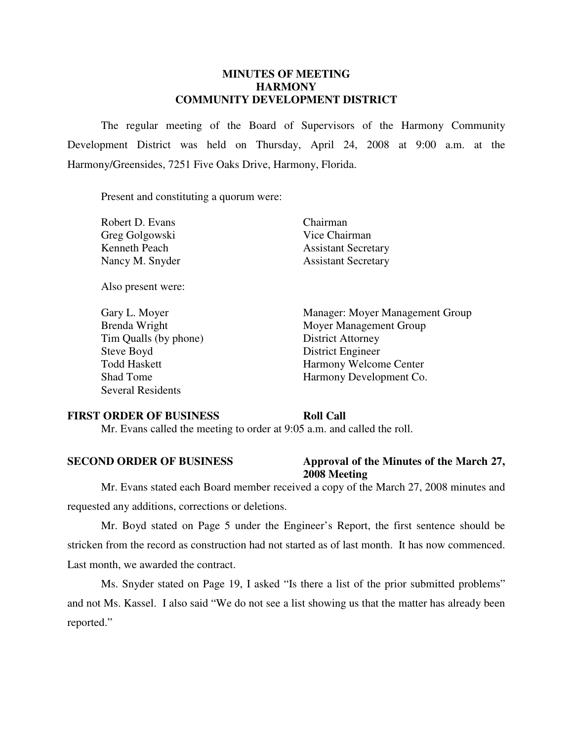## **MINUTES OF MEETING HARMONY COMMUNITY DEVELOPMENT DISTRICT**

 The regular meeting of the Board of Supervisors of the Harmony Community Development District was held on Thursday, April 24, 2008 at 9:00 a.m. at the Harmony/Greensides, 7251 Five Oaks Drive, Harmony, Florida.

Present and constituting a quorum were:

| Robert D. Evans |
|-----------------|
| Greg Golgowski  |
| Kenneth Peach   |
| Nancy M. Snyder |

Also present were:

Tim Qualls (by phone) District Attorney Steve Boyd District Engineer Several Residents

Chairman Vice Chairman **Assistant Secretary** Assistant Secretary

 Gary L. Moyer Manager: Moyer Management Group Brenda Wright Moyer Management Group Todd Haskett Harmony Welcome Center Shad Tome Harmony Development Co.

### **FIRST ORDER OF BUSINESS Roll Call**

Mr. Evans called the meeting to order at 9:05 a.m. and called the roll.

### **SECOND ORDER OF BUSINESS** Approval of the Minutes of the March 27, **2008 Meeting**

 Mr. Evans stated each Board member received a copy of the March 27, 2008 minutes and requested any additions, corrections or deletions.

 Mr. Boyd stated on Page 5 under the Engineer's Report, the first sentence should be stricken from the record as construction had not started as of last month. It has now commenced. Last month, we awarded the contract.

 Ms. Snyder stated on Page 19, I asked "Is there a list of the prior submitted problems" and not Ms. Kassel. I also said "We do not see a list showing us that the matter has already been reported."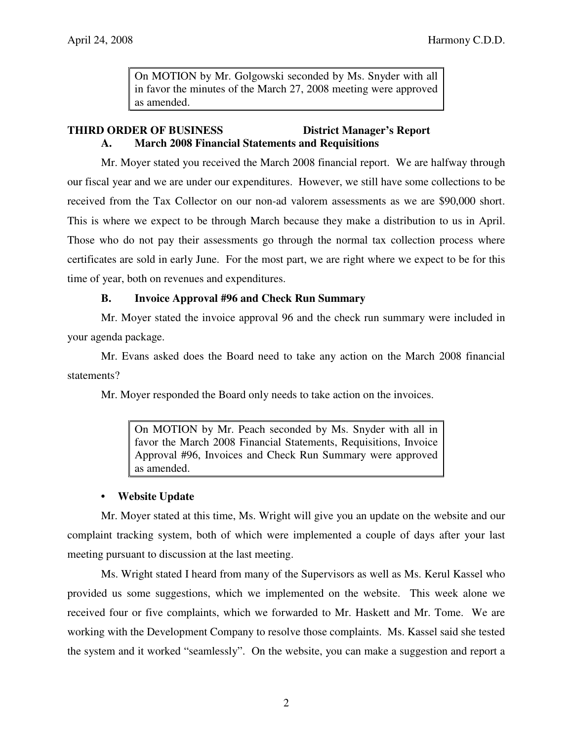On MOTION by Mr. Golgowski seconded by Ms. Snyder with all in favor the minutes of the March 27, 2008 meeting were approved as amended.

# **THIRD ORDER OF BUSINESS District Manager's Report A. March 2008 Financial Statements and Requisitions**

 Mr. Moyer stated you received the March 2008 financial report. We are halfway through our fiscal year and we are under our expenditures. However, we still have some collections to be received from the Tax Collector on our non-ad valorem assessments as we are \$90,000 short. This is where we expect to be through March because they make a distribution to us in April. Those who do not pay their assessments go through the normal tax collection process where certificates are sold in early June. For the most part, we are right where we expect to be for this time of year, both on revenues and expenditures.

# **B. Invoice Approval #96 and Check Run Summary**

 Mr. Moyer stated the invoice approval 96 and the check run summary were included in your agenda package.

 Mr. Evans asked does the Board need to take any action on the March 2008 financial statements?

Mr. Moyer responded the Board only needs to take action on the invoices.

On MOTION by Mr. Peach seconded by Ms. Snyder with all in favor the March 2008 Financial Statements, Requisitions, Invoice Approval #96, Invoices and Check Run Summary were approved as amended.

# **• Website Update**

 Mr. Moyer stated at this time, Ms. Wright will give you an update on the website and our complaint tracking system, both of which were implemented a couple of days after your last meeting pursuant to discussion at the last meeting.

 Ms. Wright stated I heard from many of the Supervisors as well as Ms. Kerul Kassel who provided us some suggestions, which we implemented on the website. This week alone we received four or five complaints, which we forwarded to Mr. Haskett and Mr. Tome. We are working with the Development Company to resolve those complaints. Ms. Kassel said she tested the system and it worked "seamlessly". On the website, you can make a suggestion and report a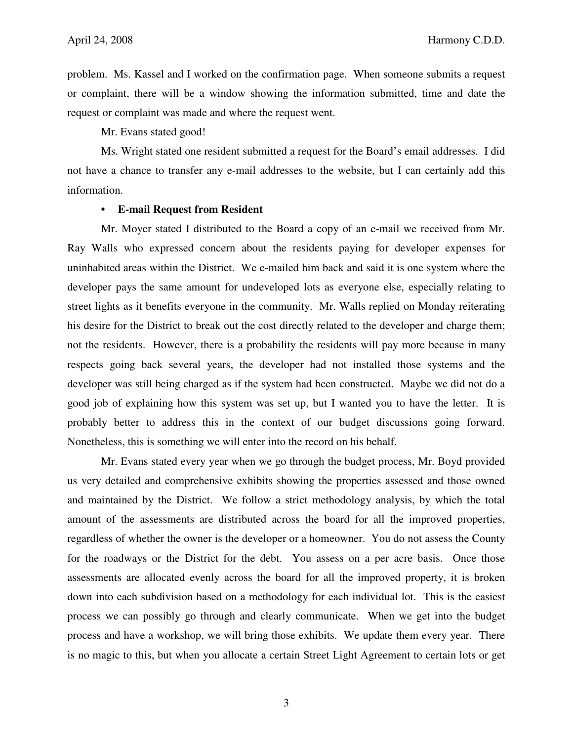problem. Ms. Kassel and I worked on the confirmation page. When someone submits a request or complaint, there will be a window showing the information submitted, time and date the request or complaint was made and where the request went.

Mr. Evans stated good!

 Ms. Wright stated one resident submitted a request for the Board's email addresses. I did not have a chance to transfer any e-mail addresses to the website, but I can certainly add this information.

### **• E-mail Request from Resident**

 Mr. Moyer stated I distributed to the Board a copy of an e-mail we received from Mr. Ray Walls who expressed concern about the residents paying for developer expenses for uninhabited areas within the District. We e-mailed him back and said it is one system where the developer pays the same amount for undeveloped lots as everyone else, especially relating to street lights as it benefits everyone in the community. Mr. Walls replied on Monday reiterating his desire for the District to break out the cost directly related to the developer and charge them; not the residents. However, there is a probability the residents will pay more because in many respects going back several years, the developer had not installed those systems and the developer was still being charged as if the system had been constructed. Maybe we did not do a good job of explaining how this system was set up, but I wanted you to have the letter. It is probably better to address this in the context of our budget discussions going forward. Nonetheless, this is something we will enter into the record on his behalf.

 Mr. Evans stated every year when we go through the budget process, Mr. Boyd provided us very detailed and comprehensive exhibits showing the properties assessed and those owned and maintained by the District. We follow a strict methodology analysis, by which the total amount of the assessments are distributed across the board for all the improved properties, regardless of whether the owner is the developer or a homeowner. You do not assess the County for the roadways or the District for the debt. You assess on a per acre basis. Once those assessments are allocated evenly across the board for all the improved property, it is broken down into each subdivision based on a methodology for each individual lot. This is the easiest process we can possibly go through and clearly communicate. When we get into the budget process and have a workshop, we will bring those exhibits. We update them every year. There is no magic to this, but when you allocate a certain Street Light Agreement to certain lots or get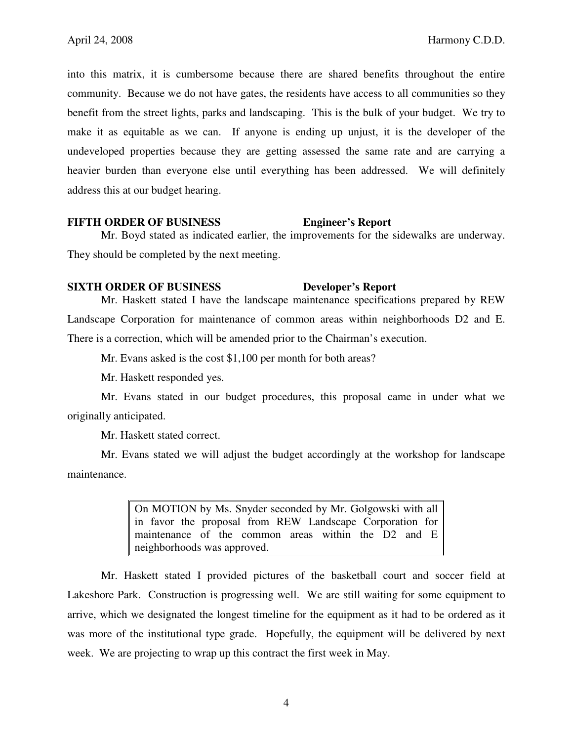into this matrix, it is cumbersome because there are shared benefits throughout the entire community. Because we do not have gates, the residents have access to all communities so they benefit from the street lights, parks and landscaping. This is the bulk of your budget. We try to make it as equitable as we can. If anyone is ending up unjust, it is the developer of the undeveloped properties because they are getting assessed the same rate and are carrying a heavier burden than everyone else until everything has been addressed. We will definitely address this at our budget hearing.

### **FIFTH ORDER OF BUSINESS Engineer's Report**

 Mr. Boyd stated as indicated earlier, the improvements for the sidewalks are underway. They should be completed by the next meeting.

### **SIXTH ORDER OF BUSINESS Developer's Report**

 Mr. Haskett stated I have the landscape maintenance specifications prepared by REW Landscape Corporation for maintenance of common areas within neighborhoods D2 and E. There is a correction, which will be amended prior to the Chairman's execution.

Mr. Evans asked is the cost \$1,100 per month for both areas?

Mr. Haskett responded yes.

 Mr. Evans stated in our budget procedures, this proposal came in under what we originally anticipated.

Mr. Haskett stated correct.

 Mr. Evans stated we will adjust the budget accordingly at the workshop for landscape maintenance.

> On MOTION by Ms. Snyder seconded by Mr. Golgowski with all in favor the proposal from REW Landscape Corporation for maintenance of the common areas within the D2 and E neighborhoods was approved.

 Mr. Haskett stated I provided pictures of the basketball court and soccer field at Lakeshore Park. Construction is progressing well. We are still waiting for some equipment to arrive, which we designated the longest timeline for the equipment as it had to be ordered as it was more of the institutional type grade. Hopefully, the equipment will be delivered by next week. We are projecting to wrap up this contract the first week in May.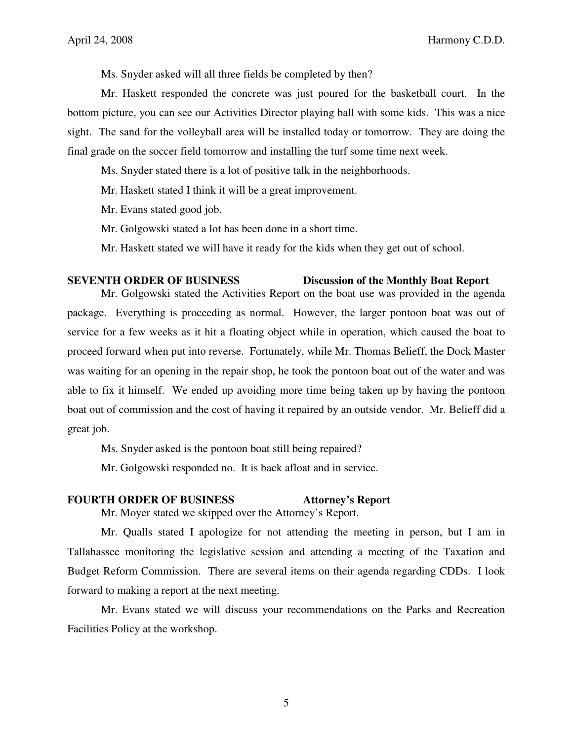Ms. Snyder asked will all three fields be completed by then?

 Mr. Haskett responded the concrete was just poured for the basketball court. In the bottom picture, you can see our Activities Director playing ball with some kids. This was a nice sight. The sand for the volleyball area will be installed today or tomorrow. They are doing the final grade on the soccer field tomorrow and installing the turf some time next week.

Ms. Snyder stated there is a lot of positive talk in the neighborhoods.

Mr. Haskett stated I think it will be a great improvement.

Mr. Evans stated good job.

Mr. Golgowski stated a lot has been done in a short time.

Mr. Haskett stated we will have it ready for the kids when they get out of school.

### **SEVENTH ORDER OF BUSINESS Discussion of the Monthly Boat Report**

# Mr. Golgowski stated the Activities Report on the boat use was provided in the agenda package. Everything is proceeding as normal. However, the larger pontoon boat was out of service for a few weeks as it hit a floating object while in operation, which caused the boat to proceed forward when put into reverse. Fortunately, while Mr. Thomas Belieff, the Dock Master was waiting for an opening in the repair shop, he took the pontoon boat out of the water and was able to fix it himself. We ended up avoiding more time being taken up by having the pontoon boat out of commission and the cost of having it repaired by an outside vendor. Mr. Belieff did a great job.

Ms. Snyder asked is the pontoon boat still being repaired?

Mr. Golgowski responded no. It is back afloat and in service.

### **FOURTH ORDER OF BUSINESS Attorney's Report**

Mr. Moyer stated we skipped over the Attorney's Report.

Mr. Qualls stated I apologize for not attending the meeting in person, but I am in Tallahassee monitoring the legislative session and attending a meeting of the Taxation and Budget Reform Commission. There are several items on their agenda regarding CDDs. I look forward to making a report at the next meeting.

Mr. Evans stated we will discuss your recommendations on the Parks and Recreation Facilities Policy at the workshop.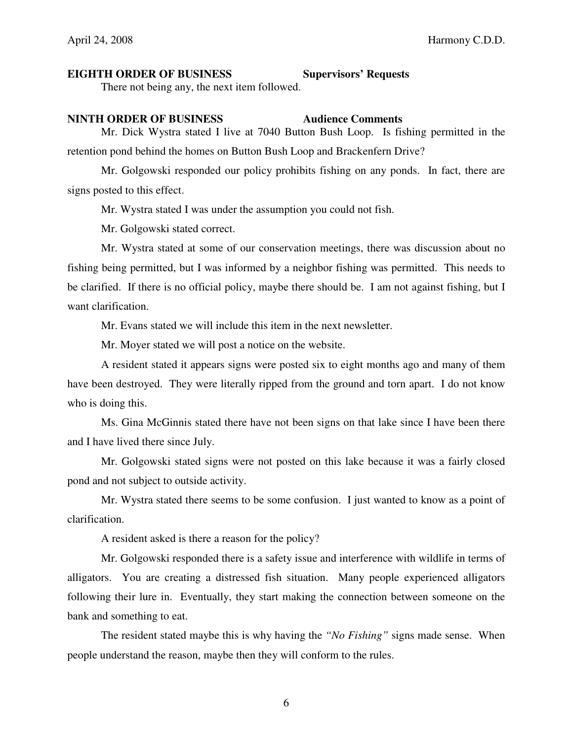### **EIGHTH ORDER OF BUSINESS Supervisors' Requests**

There not being any, the next item followed.

## **NINTH ORDER OF BUSINESS Audience Comments**

 Mr. Dick Wystra stated I live at 7040 Button Bush Loop. Is fishing permitted in the retention pond behind the homes on Button Bush Loop and Brackenfern Drive?

 Mr. Golgowski responded our policy prohibits fishing on any ponds. In fact, there are signs posted to this effect.

Mr. Wystra stated I was under the assumption you could not fish.

Mr. Golgowski stated correct.

 Mr. Wystra stated at some of our conservation meetings, there was discussion about no fishing being permitted, but I was informed by a neighbor fishing was permitted. This needs to be clarified. If there is no official policy, maybe there should be. I am not against fishing, but I want clarification.

Mr. Evans stated we will include this item in the next newsletter.

Mr. Moyer stated we will post a notice on the website.

 A resident stated it appears signs were posted six to eight months ago and many of them have been destroyed. They were literally ripped from the ground and torn apart. I do not know who is doing this.

 Ms. Gina McGinnis stated there have not been signs on that lake since I have been there and I have lived there since July.

 Mr. Golgowski stated signs were not posted on this lake because it was a fairly closed pond and not subject to outside activity.

 Mr. Wystra stated there seems to be some confusion. I just wanted to know as a point of clarification.

A resident asked is there a reason for the policy?

 Mr. Golgowski responded there is a safety issue and interference with wildlife in terms of alligators. You are creating a distressed fish situation. Many people experienced alligators following their lure in. Eventually, they start making the connection between someone on the bank and something to eat.

 The resident stated maybe this is why having the *"No Fishing"* signs made sense. When people understand the reason, maybe then they will conform to the rules.

6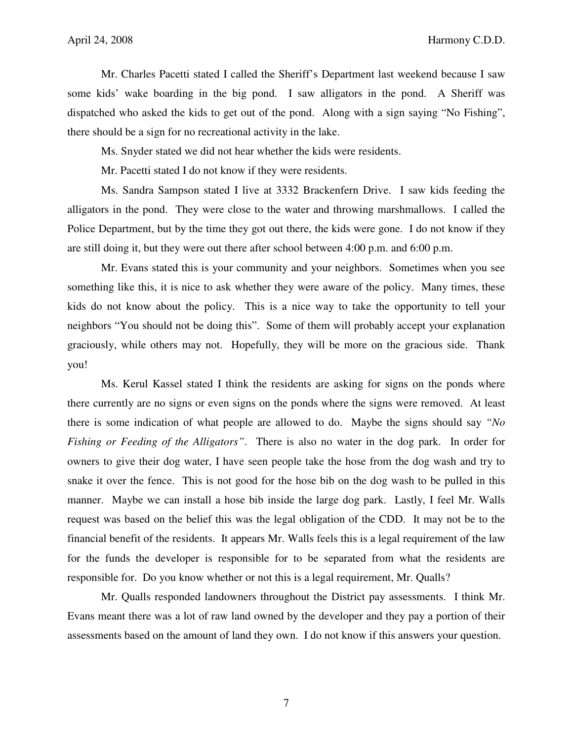Mr. Charles Pacetti stated I called the Sheriff's Department last weekend because I saw some kids' wake boarding in the big pond. I saw alligators in the pond. A Sheriff was dispatched who asked the kids to get out of the pond. Along with a sign saying "No Fishing", there should be a sign for no recreational activity in the lake.

Ms. Snyder stated we did not hear whether the kids were residents.

Mr. Pacetti stated I do not know if they were residents.

 Ms. Sandra Sampson stated I live at 3332 Brackenfern Drive. I saw kids feeding the alligators in the pond. They were close to the water and throwing marshmallows. I called the Police Department, but by the time they got out there, the kids were gone. I do not know if they are still doing it, but they were out there after school between 4:00 p.m. and 6:00 p.m.

 Mr. Evans stated this is your community and your neighbors. Sometimes when you see something like this, it is nice to ask whether they were aware of the policy. Many times, these kids do not know about the policy. This is a nice way to take the opportunity to tell your neighbors "You should not be doing this". Some of them will probably accept your explanation graciously, while others may not. Hopefully, they will be more on the gracious side. Thank you!

 Ms. Kerul Kassel stated I think the residents are asking for signs on the ponds where there currently are no signs or even signs on the ponds where the signs were removed. At least there is some indication of what people are allowed to do. Maybe the signs should say *"No Fishing or Feeding of the Alligators"*. There is also no water in the dog park. In order for owners to give their dog water, I have seen people take the hose from the dog wash and try to snake it over the fence. This is not good for the hose bib on the dog wash to be pulled in this manner. Maybe we can install a hose bib inside the large dog park. Lastly, I feel Mr. Walls request was based on the belief this was the legal obligation of the CDD. It may not be to the financial benefit of the residents. It appears Mr. Walls feels this is a legal requirement of the law for the funds the developer is responsible for to be separated from what the residents are responsible for. Do you know whether or not this is a legal requirement, Mr. Qualls?

 Mr. Qualls responded landowners throughout the District pay assessments. I think Mr. Evans meant there was a lot of raw land owned by the developer and they pay a portion of their assessments based on the amount of land they own. I do not know if this answers your question.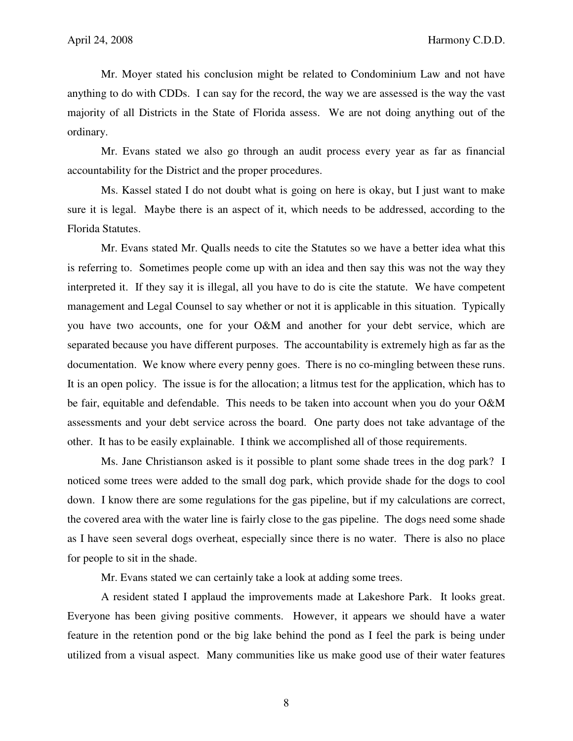Mr. Moyer stated his conclusion might be related to Condominium Law and not have anything to do with CDDs. I can say for the record, the way we are assessed is the way the vast majority of all Districts in the State of Florida assess. We are not doing anything out of the ordinary.

 Mr. Evans stated we also go through an audit process every year as far as financial accountability for the District and the proper procedures.

 Ms. Kassel stated I do not doubt what is going on here is okay, but I just want to make sure it is legal. Maybe there is an aspect of it, which needs to be addressed, according to the Florida Statutes.

 Mr. Evans stated Mr. Qualls needs to cite the Statutes so we have a better idea what this is referring to. Sometimes people come up with an idea and then say this was not the way they interpreted it. If they say it is illegal, all you have to do is cite the statute. We have competent management and Legal Counsel to say whether or not it is applicable in this situation. Typically you have two accounts, one for your O&M and another for your debt service, which are separated because you have different purposes. The accountability is extremely high as far as the documentation. We know where every penny goes. There is no co-mingling between these runs. It is an open policy. The issue is for the allocation; a litmus test for the application, which has to be fair, equitable and defendable. This needs to be taken into account when you do your O&M assessments and your debt service across the board. One party does not take advantage of the other. It has to be easily explainable. I think we accomplished all of those requirements.

 Ms. Jane Christianson asked is it possible to plant some shade trees in the dog park? I noticed some trees were added to the small dog park, which provide shade for the dogs to cool down. I know there are some regulations for the gas pipeline, but if my calculations are correct, the covered area with the water line is fairly close to the gas pipeline. The dogs need some shade as I have seen several dogs overheat, especially since there is no water. There is also no place for people to sit in the shade.

Mr. Evans stated we can certainly take a look at adding some trees.

 A resident stated I applaud the improvements made at Lakeshore Park. It looks great. Everyone has been giving positive comments. However, it appears we should have a water feature in the retention pond or the big lake behind the pond as I feel the park is being under utilized from a visual aspect. Many communities like us make good use of their water features

8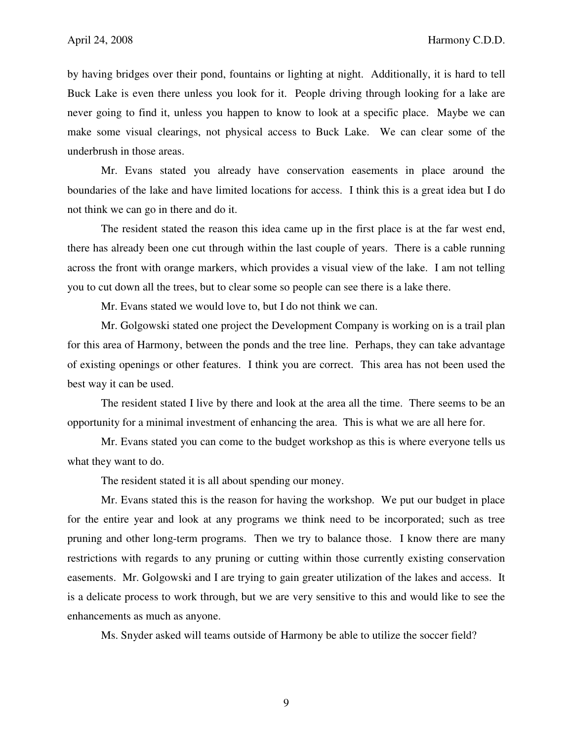by having bridges over their pond, fountains or lighting at night. Additionally, it is hard to tell Buck Lake is even there unless you look for it. People driving through looking for a lake are never going to find it, unless you happen to know to look at a specific place. Maybe we can make some visual clearings, not physical access to Buck Lake. We can clear some of the underbrush in those areas.

 Mr. Evans stated you already have conservation easements in place around the boundaries of the lake and have limited locations for access. I think this is a great idea but I do not think we can go in there and do it.

 The resident stated the reason this idea came up in the first place is at the far west end, there has already been one cut through within the last couple of years. There is a cable running across the front with orange markers, which provides a visual view of the lake. I am not telling you to cut down all the trees, but to clear some so people can see there is a lake there.

Mr. Evans stated we would love to, but I do not think we can.

 Mr. Golgowski stated one project the Development Company is working on is a trail plan for this area of Harmony, between the ponds and the tree line. Perhaps, they can take advantage of existing openings or other features. I think you are correct. This area has not been used the best way it can be used.

 The resident stated I live by there and look at the area all the time. There seems to be an opportunity for a minimal investment of enhancing the area. This is what we are all here for.

 Mr. Evans stated you can come to the budget workshop as this is where everyone tells us what they want to do.

The resident stated it is all about spending our money.

 Mr. Evans stated this is the reason for having the workshop. We put our budget in place for the entire year and look at any programs we think need to be incorporated; such as tree pruning and other long-term programs. Then we try to balance those. I know there are many restrictions with regards to any pruning or cutting within those currently existing conservation easements. Mr. Golgowski and I are trying to gain greater utilization of the lakes and access. It is a delicate process to work through, but we are very sensitive to this and would like to see the enhancements as much as anyone.

Ms. Snyder asked will teams outside of Harmony be able to utilize the soccer field?

9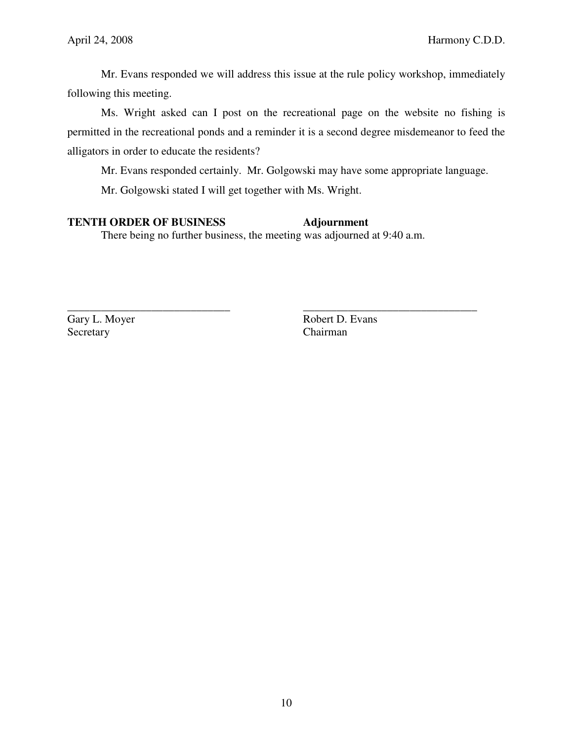Mr. Evans responded we will address this issue at the rule policy workshop, immediately following this meeting.

 Ms. Wright asked can I post on the recreational page on the website no fishing is permitted in the recreational ponds and a reminder it is a second degree misdemeanor to feed the alligators in order to educate the residents?

Mr. Evans responded certainly. Mr. Golgowski may have some appropriate language.

Mr. Golgowski stated I will get together with Ms. Wright.

# **TENTH ORDER OF BUSINESS** Adjournment

There being no further business, the meeting was adjourned at 9:40 a.m.

\_\_\_\_\_\_\_\_\_\_\_\_\_\_\_\_\_\_\_\_\_\_\_\_\_\_\_\_\_ \_\_\_\_\_\_\_\_\_\_\_\_\_\_\_\_\_\_\_\_\_\_\_\_\_\_\_\_\_\_\_

Secretary Chairman

Gary L. Moyer Robert D. Evans